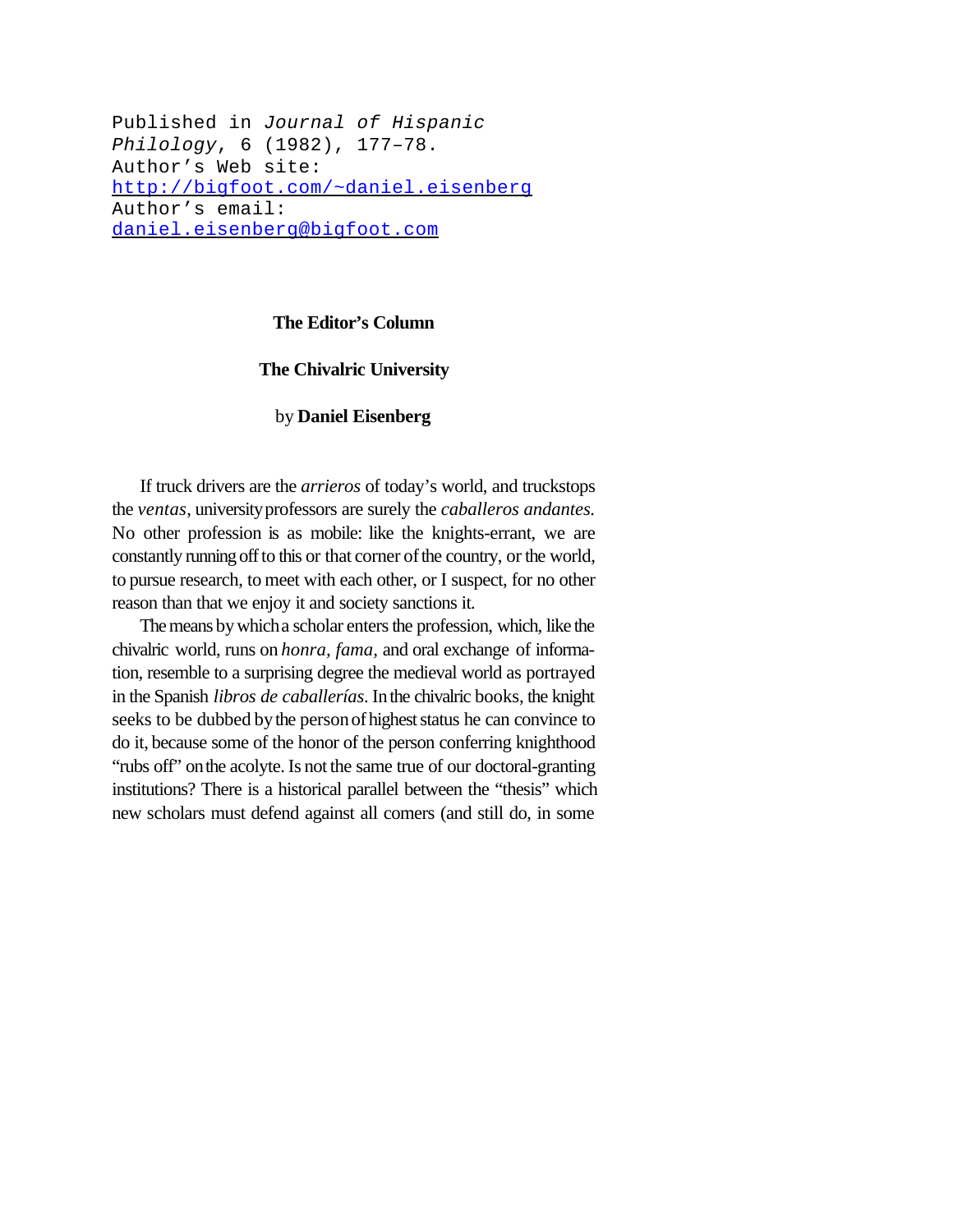Published in *Journal of Hispanic Philology*, 6 (1982), 177–78. Author's Web site: http://bigfoot.com/~daniel.eisenberg Author's email: daniel.eisenberg@bigfoot.com

## **The Editor's Column**

## **The Chivalric University**

## by **Daniel Eisenberg**

If truck drivers are the *arrieros* of today's world, and truckstops the *ventas*, universityprofessors are surely the *caballeros andantes.* No other profession is as mobile: like the knights-errant, we are constantly running off to this or that corner of the country, or the world, to pursue research, to meet with each other, or I suspect, for no other reason than that we enjoy it and society sanctions it.

The means by which a scholar enters the profession, which, like the chivalric world, runs on *honra, fama,* and oral exchange of information, resemble to a surprising degree the medieval world as portrayed in the Spanish *libros de caballerías*. Inthe chivalric books, the knight seeks to be dubbed by the person of highest status he can convince to do it, because some of the honor of the person conferring knighthood "rubs off" onthe acolyte.Is not the same true of our doctoral-granting institutions? There is a historical parallel between the "thesis" which new scholars must defend against all comers (and still do, in some